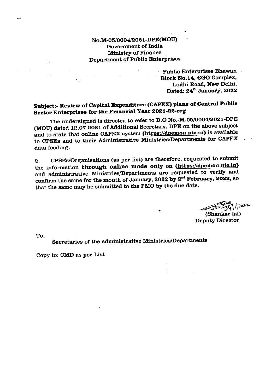## No.M-05/0004/2021-DPE(MOU) Government of India Ministry of Finance **Department of Public Enterprises**

**Public Enterprises Bhawan** Block No.14, CGO Complex, Lodhi Road, New Delhi, Dated: 24<sup>th</sup> January, 2022

## Subject:- Review of Capital Expenditure (CAPEX) plans of Central Public Sector Enterprises for the Financial Year 2021-22-reg

The undersigned is directed to refer to D.O No.-M-05/0004/2021-DPE (MOU) dated 12.07.2021 of Additional Secretary, DPE on the above subject and to state that online CAPEX system (https://dpemou.nic.in) is available to CPSEs and to their Administrative Ministries/Departments for CAPEX data feeding.

CPSEs/Organisations (as per list) are therefore, requested to submit  $2.$ the information through online mode only on (https://dpemou.nic.in) and administrative Ministries/Departments are requested to verify and confirm the same for the month of January, 2022 by  $2<sup>nd</sup>$  February, 2022, so that the same may be submitted to the PMO by the due date.

11/2022

(Shankar lal) **Deputy Director** 

To.

## Secretaries of the administrative Ministries/Departments

Copy to: CMD as per List